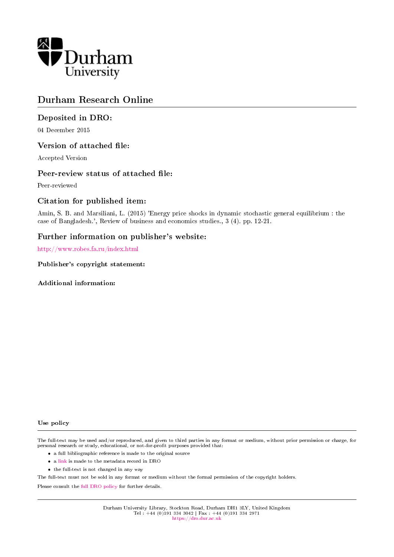

## Durham Research Online

## Deposited in DRO:

04 December 2015

## Version of attached file:

Accepted Version

## Peer-review status of attached file:

Peer-reviewed

## Citation for published item:

Amin, S. B. and Marsiliani, L. (2015) 'Energy price shocks in dynamic stochastic general equilibrium : the case of Bangladesh.', Review of business and economics studies., 3 (4). pp. 12-21.

## Further information on publisher's website:

<http://www.robes.fa.ru/index.html>

Publisher's copyright statement:

Additional information:

#### Use policy

The full-text may be used and/or reproduced, and given to third parties in any format or medium, without prior permission or charge, for personal research or study, educational, or not-for-profit purposes provided that:

- a full bibliographic reference is made to the original source
- a [link](http://dro.dur.ac.uk/17007/) is made to the metadata record in DRO
- the full-text is not changed in any way

The full-text must not be sold in any format or medium without the formal permission of the copyright holders.

Please consult the [full DRO policy](https://dro.dur.ac.uk/policies/usepolicy.pdf) for further details.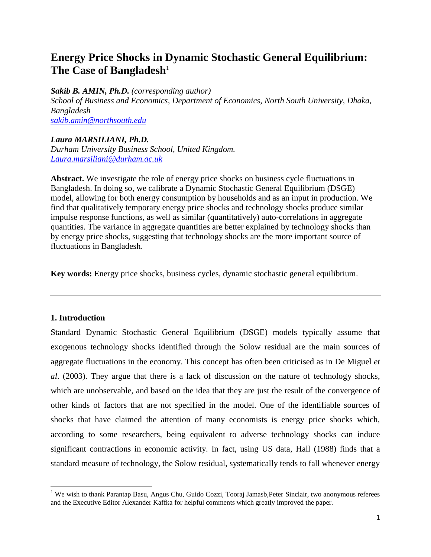# **Energy Price Shocks in Dynamic Stochastic General Equilibrium: The Case of Bangladesh<sup>1</sup>**

*Sakib B. AMIN, Ph.D. (corresponding author)*

*School of Business and Economics, Department of Economics, North South University, Dhaka, Bangladesh*

*[sakib.amin@northsouth.edu](mailto:sakib.amin@northsouth.edu)*

## *Laura MARSILIANI, Ph.D.*

*Durham University Business School, United Kingdom. [Laura.marsiliani@durham.ac.uk](mailto:Laura.marsiliani@durham.ac.uk)*

**Abstract.** We investigate the role of energy price shocks on business cycle fluctuations in Bangladesh. In doing so, we calibrate a Dynamic Stochastic General Equilibrium (DSGE) model, allowing for both energy consumption by households and as an input in production. We find that qualitatively temporary energy price shocks and technology shocks produce similar impulse response functions, as well as similar (quantitatively) auto-correlations in aggregate quantities. The variance in aggregate quantities are better explained by technology shocks than by energy price shocks, suggesting that technology shocks are the more important source of fluctuations in Bangladesh.

**Key words:** Energy price shocks, business cycles, dynamic stochastic general equilibrium.

#### **1. Introduction**

 $\overline{\phantom{a}}$ 

Standard Dynamic Stochastic General Equilibrium (DSGE) models typically assume that exogenous technology shocks identified through the Solow residual are the main sources of aggregate fluctuations in the economy. This concept has often been criticised as in De Miguel *et al*. (2003). They argue that there is a lack of discussion on the nature of technology shocks, which are unobservable, and based on the idea that they are just the result of the convergence of other kinds of factors that are not specified in the model. One of the identifiable sources of shocks that have claimed the attention of many economists is energy price shocks which, according to some researchers, being equivalent to adverse technology shocks can induce significant contractions in economic activity. In fact, using US data, Hall (1988) finds that a standard measure of technology, the Solow residual, systematically tends to fall whenever energy

<sup>&</sup>lt;sup>1</sup> We wish to thank Parantap Basu, Angus Chu, Guido Cozzi, Tooraj Jamasb, Peter Sinclair, two anonymous referees and the Executive Editor Alexander Kaffka for helpful comments which greatly improved the paper.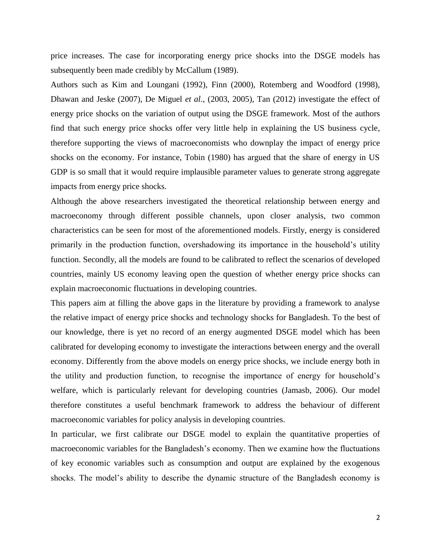price increases. The case for incorporating energy price shocks into the DSGE models has subsequently been made credibly by McCallum (1989).

Authors such as Kim and Loungani (1992), Finn (2000), Rotemberg and Woodford (1998), Dhawan and Jeske (2007), De Miguel *et al*., (2003, 2005), Tan (2012) investigate the effect of energy price shocks on the variation of output using the DSGE framework. Most of the authors find that such energy price shocks offer very little help in explaining the US business cycle, therefore supporting the views of macroeconomists who downplay the impact of energy price shocks on the economy. For instance, Tobin (1980) has argued that the share of energy in US GDP is so small that it would require implausible parameter values to generate strong aggregate impacts from energy price shocks.

Although the above researchers investigated the theoretical relationship between energy and macroeconomy through different possible channels, upon closer analysis, two common characteristics can be seen for most of the aforementioned models. Firstly, energy is considered primarily in the production function, overshadowing its importance in the household's utility function. Secondly, all the models are found to be calibrated to reflect the scenarios of developed countries, mainly US economy leaving open the question of whether energy price shocks can explain macroeconomic fluctuations in developing countries.

This papers aim at filling the above gaps in the literature by providing a framework to analyse the relative impact of energy price shocks and technology shocks for Bangladesh. To the best of our knowledge, there is yet no record of an energy augmented DSGE model which has been calibrated for developing economy to investigate the interactions between energy and the overall economy. Differently from the above models on energy price shocks, we include energy both in the utility and production function, to recognise the importance of energy for household's welfare, which is particularly relevant for developing countries (Jamasb, 2006). Our model therefore constitutes a useful benchmark framework to address the behaviour of different macroeconomic variables for policy analysis in developing countries.

In particular, we first calibrate our DSGE model to explain the quantitative properties of macroeconomic variables for the Bangladesh's economy. Then we examine how the fluctuations of key economic variables such as consumption and output are explained by the exogenous shocks. The model's ability to describe the dynamic structure of the Bangladesh economy is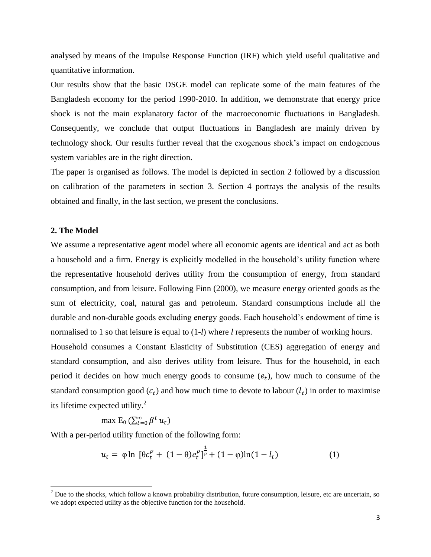analysed by means of the Impulse Response Function (IRF) which yield useful qualitative and quantitative information.

Our results show that the basic DSGE model can replicate some of the main features of the Bangladesh economy for the period 1990-2010. In addition, we demonstrate that energy price shock is not the main explanatory factor of the macroeconomic fluctuations in Bangladesh. Consequently, we conclude that output fluctuations in Bangladesh are mainly driven by technology shock. Our results further reveal that the exogenous shock's impact on endogenous system variables are in the right direction.

The paper is organised as follows. The model is depicted in section 2 followed by a discussion on calibration of the parameters in section 3. Section 4 portrays the analysis of the results obtained and finally, in the last section, we present the conclusions.

#### **2. The Model**

 $\overline{\phantom{a}}$ 

We assume a representative agent model where all economic agents are identical and act as both a household and a firm. Energy is explicitly modelled in the household's utility function where the representative household derives utility from the consumption of energy, from standard consumption, and from leisure. Following Finn (2000), we measure energy oriented goods as the sum of electricity, coal, natural gas and petroleum. Standard consumptions include all the durable and non-durable goods excluding energy goods. Each household's endowment of time is normalised to 1 so that leisure is equal to (1-*l*) where *l* represents the number of working hours.

Household consumes a Constant Elasticity of Substitution (CES) aggregation of energy and standard consumption, and also derives utility from leisure. Thus for the household, in each period it decides on how much energy goods to consume  $(e_t)$ , how much to consume of the standard consumption good  $(c_t)$  and how much time to devote to labour  $(l_t)$  in order to maximise its lifetime expected utility.<sup>2</sup>

$$
\max \mathsf{E}_0 \left( \sum_{t=0}^{\infty} \beta^t u_t \right)
$$

With a per-period utility function of the following form:

$$
u_t = \varphi \ln \left[ \theta c_t^{\rho} + (1 - \theta) e_t^{\rho} \right]_F^{\frac{1}{\rho}} + (1 - \varphi) \ln(1 - l_t)
$$
 (1)

 $<sup>2</sup>$  Due to the shocks, which follow a known probability distribution, future consumption, leisure, etc are uncertain, so</sup> we adopt expected utility as the objective function for the household.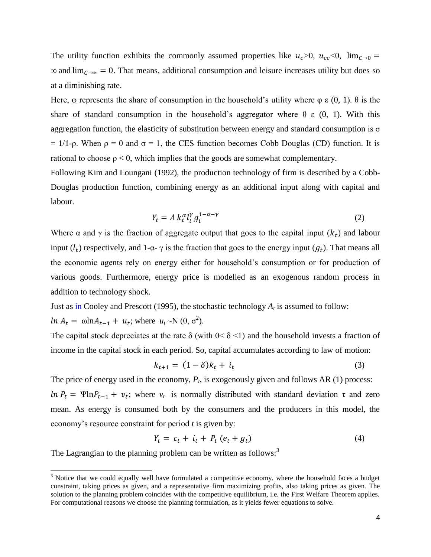The utility function exhibits the commonly assumed properties like  $u_c > 0$ ,  $u_{cc} < 0$ ,  $\lim_{c \to 0} =$  $\infty$  and  $\lim_{C\to\infty}$  = 0. That means, additional consumption and leisure increases utility but does so at a diminishing rate.

Here, φ represents the share of consumption in the household's utility where φ ε (0, 1).  $θ$  is the share of standard consumption in the household's aggregator where  $\theta \in (0, 1)$ . With this aggregation function, the elasticity of substitution between energy and standard consumption is  $\sigma$  $= 1/1$ -ρ. When ρ = 0 and σ = 1, the CES function becomes Cobb Douglas (CD) function. It is rational to choose  $\rho < 0$ , which implies that the goods are somewhat complementary.

Following Kim and Loungani (1992), the production technology of firm is described by a Cobb-Douglas production function, combining energy as an additional input along with capital and labour.

$$
Y_t = A k_t^{\alpha} l_t^{\gamma} g_t^{1-\alpha-\gamma} \tag{2}
$$

Where  $\alpha$  and  $\gamma$  is the fraction of aggregate output that goes to the capital input  $(k_t)$  and labour input  $(l_t)$  respectively, and 1- $\alpha$ -  $\gamma$  is the fraction that goes to the energy input  $(g_t)$ . That means all the economic agents rely on energy either for household's consumption or for production of various goods. Furthermore, energy price is modelled as an exogenous random process in addition to technology shock.

Just as in Cooley and Prescott (1995), the stochastic technology  $A_t$  is assumed to follow:

 $ln A_t = \omega ln A_{t-1} + u_t$ ; where  $u_t \sim N(0, \sigma^2)$ .

 $\overline{\phantom{a}}$ 

The capital stock depreciates at the rate  $\delta$  (with  $0 < \delta < 1$ ) and the household invests a fraction of income in the capital stock in each period. So, capital accumulates according to law of motion:

$$
k_{t+1} = (1 - \delta)k_t + i_t
$$
 (3)

The price of energy used in the economy,  $P_t$ , is exogenously given and follows AR (1) process: ln  $P_t = \Psi \ln P_{t-1} + v_t$ ; where  $v_t$  is normally distributed with standard deviation  $\tau$  and zero mean. As energy is consumed both by the consumers and the producers in this model, the economy's resource constraint for period *t* is given by:

$$
Y_t = c_t + i_t + P_t (e_t + g_t) \tag{4}
$$

The Lagrangian to the planning problem can be written as follows:<sup>3</sup>

<sup>&</sup>lt;sup>3</sup> Notice that we could equally well have formulated a competitive economy, where the household faces a budget constraint, taking prices as given, and a representative firm maximizing profits, also taking prices as given. The solution to the planning problem coincides with the competitive equilibrium, i.e. the First Welfare Theorem applies. For computational reasons we choose the planning formulation, as it yields fewer equations to solve.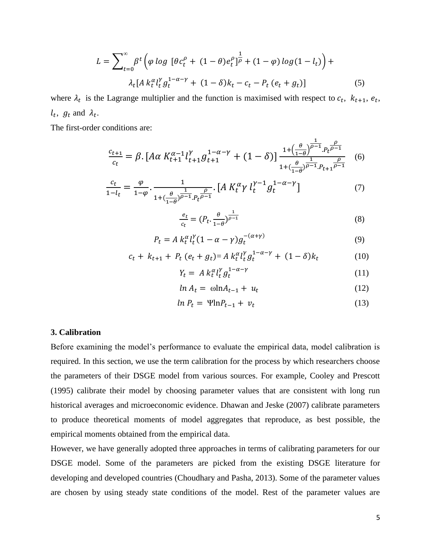$$
L = \sum_{t=0}^{\infty} \beta^t \left( \varphi \log \left[ \theta c_t^{\rho} + (1 - \theta) e_t^{\rho} \right]_F^{\frac{1}{\rho}} + (1 - \varphi) \log(1 - l_t) \right) +
$$
  

$$
\lambda_t [A k_t^{\alpha} l_t^{\gamma} g_t^{1 - \alpha - \gamma} + (1 - \delta) k_t - c_t - P_t (e_t + g_t)] \tag{5}
$$

where  $\lambda_t$  is the Lagrange multiplier and the function is maximised with respect to  $c_t$ ,  $k_{t+1}$ ,  $e_t$ ,  $l_t$ ,  $g_t$  and  $\lambda_t$ .

The first-order conditions are:

$$
\frac{c_{t+1}}{c_t} = \beta \cdot \left[ A\alpha \, K_{t+1}^{\alpha-1} l_{t+1}^{\gamma} g_{t+1}^{1-\alpha-\gamma} + (1-\delta) \right] \frac{1 + \left(\frac{\theta}{1-\theta}\right)^{\frac{1}{\rho-1}} P_t e^{-\frac{\rho}{1-\rho}}}{1 + \left(\frac{\theta}{1-\theta}\right)^{\frac{1}{\rho-1}} P_{t+1} \frac{\rho}{\rho-1}} \tag{6}
$$

$$
\frac{c_t}{1 - l_t} = \frac{\varphi}{1 - \varphi} \cdot \frac{1}{1 + (\frac{\theta}{1 - \theta})^{\frac{1}{\rho - 1}} P_t^{\frac{\rho}{\rho - 1}}} \cdot [A \, K_t^{\alpha} \gamma \, l_t^{\gamma - 1} g_t^{1 - \alpha - \gamma}] \tag{7}
$$

$$
\frac{e_t}{c_t} = (P_t \cdot \frac{\theta}{1-\theta})^{\frac{1}{\rho-1}}
$$
\n(8)

$$
P_t = A k_t^{\alpha} l_t^{\gamma} (1 - \alpha - \gamma) g_t^{-(\alpha + \gamma)}
$$
\n(9)

$$
c_t + k_{t+1} + P_t (e_t + g_t) = A k_t^{\alpha} l_t^{\gamma} g_t^{1-\alpha-\gamma} + (1-\delta) k_t \tag{10}
$$

$$
Y_t = A k_t^{\alpha} l_t^{\gamma} g_t^{1-\alpha-\gamma} \tag{11}
$$

$$
ln A_t = \omega ln A_{t-1} + u_t \tag{12}
$$

$$
ln P_t = \Psi ln P_{t-1} + v_t \tag{13}
$$

#### **3. Calibration**

Before examining the model's performance to evaluate the empirical data, model calibration is required. In this section, we use the term calibration for the process by which researchers choose the parameters of their DSGE model from various sources. For example, Cooley and Prescott (1995) calibrate their model by choosing parameter values that are consistent with long run historical averages and microeconomic evidence. Dhawan and Jeske (2007) calibrate parameters to produce theoretical moments of model aggregates that reproduce, as best possible, the empirical moments obtained from the empirical data.

However, we have generally adopted three approaches in terms of calibrating parameters for our DSGE model. Some of the parameters are picked from the existing DSGE literature for developing and developed countries (Choudhary and Pasha, 2013). Some of the parameter values are chosen by using steady state conditions of the model. Rest of the parameter values are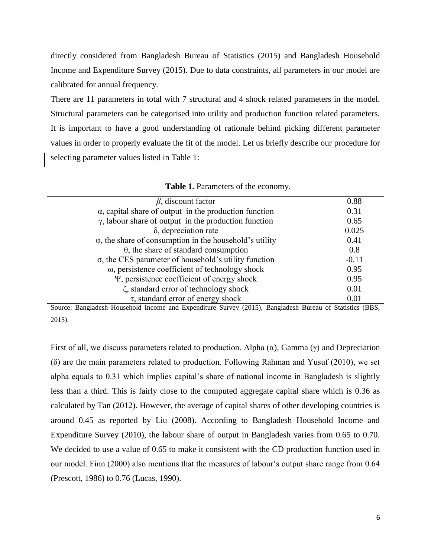directly considered from Bangladesh Bureau of Statistics (2015) and Bangladesh Household Income and Expenditure Survey (2015). Due to data constraints, all parameters in our model are calibrated for annual frequency.

There are 11 parameters in total with 7 structural and 4 shock related parameters in the model. Structural parameters can be categorised into utility and production function related parameters. It is important to have a good understanding of rationale behind picking different parameter values in order to properly evaluate the fit of the model. Let us briefly describe our procedure for selecting parameter values listed in Table 1:

| $\beta$ , discount factor                                       | 0.88    |
|-----------------------------------------------------------------|---------|
| $\alpha$ , capital share of output in the production function   | 0.31    |
| $\gamma$ , labour share of output in the production function    | 0.65    |
| $\delta$ , depreciation rate                                    | 0.025   |
| $\varphi$ , the share of consumption in the household's utility | 0.41    |
| $\theta$ , the share of standard consumption                    | 0.8     |
| $\sigma$ , the CES parameter of household's utility function    | $-0.11$ |
| $\omega$ , persistence coefficient of technology shock          | 0.95    |
| $\Psi$ , persistence coefficient of energy shock                | 0.95    |
| ζ, standard error of technology shock                           | 0.01    |
| $\tau$ , standard error of energy shock                         | 0.01    |
|                                                                 |         |

**Table 1.** Parameters of the economy.

Source: Bangladesh Household Income and Expenditure Survey (2015), Bangladesh Bureau of Statistics (BBS, 2015).

First of all, we discuss parameters related to production. Alpha  $(\alpha)$ , Gamma  $(\gamma)$  and Depreciation (δ) are the main parameters related to production. Following Rahman and Yusuf (2010), we set alpha equals to 0.31 which implies capital's share of national income in Bangladesh is slightly less than a third. This is fairly close to the computed aggregate capital share which is 0.36 as calculated by Tan (2012). However, the average of capital shares of other developing countries is around 0.45 as reported by Liu (2008). According to Bangladesh Household Income and Expenditure Survey (2010), the labour share of output in Bangladesh varies from 0.65 to 0.70. We decided to use a value of 0.65 to make it consistent with the CD production function used in our model. Finn (2000) also mentions that the measures of labour's output share range from 0.64 (Prescott, 1986) to 0.76 (Lucas, 1990).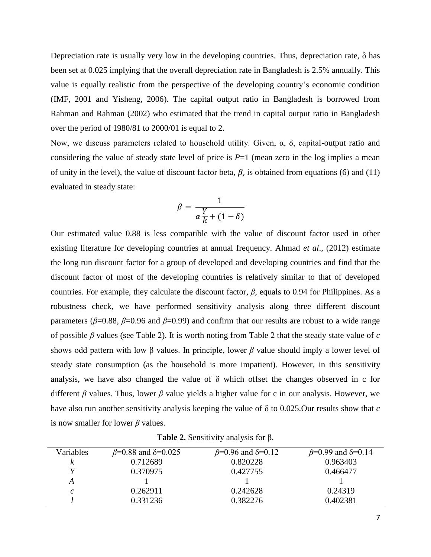Depreciation rate is usually very low in the developing countries. Thus, depreciation rate,  $\delta$  has been set at 0.025 implying that the overall depreciation rate in Bangladesh is 2.5% annually. This value is equally realistic from the perspective of the developing country's economic condition (IMF, 2001 and Yisheng, 2006). The capital output ratio in Bangladesh is borrowed from Rahman and Rahman (2002) who estimated that the trend in capital output ratio in Bangladesh over the period of 1980/81 to 2000/01 is equal to 2.

Now, we discuss parameters related to household utility. Given, α, δ, capital-output ratio and considering the value of steady state level of price is  $P=1$  (mean zero in the log implies a mean of unity in the level), the value of discount factor beta,  $\beta$ , is obtained from equations (6) and (11) evaluated in steady state:

$$
\beta = \frac{1}{\alpha \frac{Y}{k} + (1 - \delta)}
$$

Our estimated value 0.88 is less compatible with the value of discount factor used in other existing literature for developing countries at annual frequency. Ahmad *et al*., (2012) estimate the long run discount factor for a group of developed and developing countries and find that the discount factor of most of the developing countries is relatively similar to that of developed countries. For example, they calculate the discount factor,  $\beta$ , equals to 0.94 for Philippines. As a robustness check, we have performed sensitivity analysis along three different discount parameters ( $\beta$ =0.88,  $\beta$ =0.96 and  $\beta$ =0.99) and confirm that our results are robust to a wide range of possible *β* values (see Table 2). It is worth noting from Table 2 that the steady state value of *c* shows odd pattern with low β values. In principle, lower *β* value should imply a lower level of steady state consumption (as the household is more impatient). However, in this sensitivity analysis, we have also changed the value of δ which offset the changes observed in c for different *β* values. Thus, lower *β* value yields a higher value for c in our analysis. However, we have also run another sensitivity analysis keeping the value of δ to 0.025.Our results show that *c* is now smaller for lower *β* values.

| <b>Table 2.</b> Sensitivity analysis for $\beta$ . |  |  |
|----------------------------------------------------|--|--|
|                                                    |  |  |

| Variables | $β=0.88$ and δ=0.025 | $\beta$ =0.96 and $\delta$ =0.12 | $\beta$ =0.99 and $\delta$ =0.14 |
|-----------|----------------------|----------------------------------|----------------------------------|
|           | 0.712689             | 0.820228                         | 0.963403                         |
|           | 0.370975             | 0.427755                         | 0.466477                         |
|           |                      |                                  |                                  |
|           | 0.262911             | 0.242628                         | 0.24319                          |
|           | 0.331236             | 0.382276                         | 0.402381                         |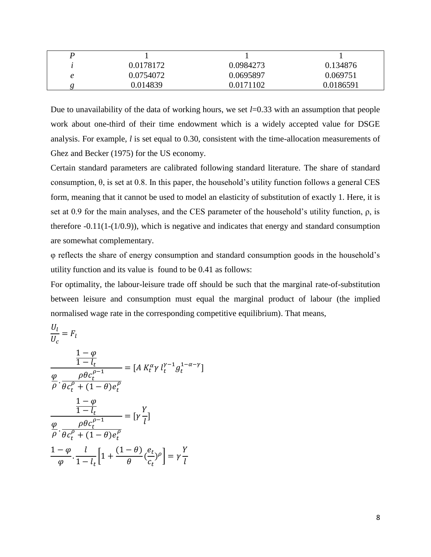| 0.0178172 | 0.0984273 | 0.134876  |
|-----------|-----------|-----------|
| 0.0754072 | 0.0695897 | 0.069751  |
| 0.014839  | 0.0171102 | 0.0186591 |

Due to unavailability of the data of working hours, we set *l*=0.33 with an assumption that people work about one-third of their time endowment which is a widely accepted value for DSGE analysis. For example, *l* is set equal to 0.30, consistent with the time-allocation measurements of Ghez and Becker (1975) for the US economy.

Certain standard parameters are calibrated following standard literature. The share of standard consumption, θ, is set at 0.8. In this paper, the household's utility function follows a general CES form, meaning that it cannot be used to model an elasticity of substitution of exactly 1. Here, it is set at 0.9 for the main analyses, and the CES parameter of the household's utility function, ρ, is therefore  $-0.11(1-(1/0.9))$ , which is negative and indicates that energy and standard consumption are somewhat complementary.

φ reflects the share of energy consumption and standard consumption goods in the household's utility function and its value is found to be 0.41 as follows:

For optimality, the labour-leisure trade off should be such that the marginal rate-of-substitution between leisure and consumption must equal the marginal product of labour (the implied normalised wage rate in the corresponding competitive equilibrium). That means,

$$
\frac{U_l}{U_c} = F_l
$$
\n
$$
\frac{\frac{1-\varphi}{1-l_t}}{\frac{\varphi}{\rho} \cdot \frac{\rho \theta c_t^{\rho-1}}{\theta c_t^{\rho} + (1-\theta)e_t^{\rho}}}
$$
\n
$$
\frac{\frac{1-\varphi}{1-l_t}}{\frac{\varphi}{\rho} \cdot \frac{\rho \theta c_t^{\rho-1}}{\theta c_t^{\rho} + (1-\theta)e_t^{\rho}}}
$$
\n
$$
\frac{\varphi}{\rho} \cdot \frac{\rho \theta c_t^{\rho-1}}{\theta c_t^{\rho} + (1-\theta)e_t^{\rho}}
$$
\n
$$
\frac{1-\varphi}{\varphi} \cdot \frac{l}{1-l_t} \left[1 + \frac{(1-\theta)}{\theta} \left(\frac{e_t}{c_t}\right)^{\rho}\right] = \gamma \frac{Y}{l}
$$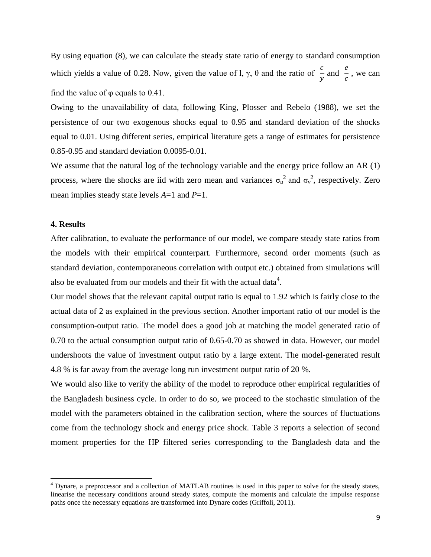By using equation (8), we can calculate the steady state ratio of energy to standard consumption which yields a value of 0.28. Now, given the value of l,  $\gamma$ ,  $\theta$  and the ratio of  $\frac{c}{y}$  and  $\frac{e}{c}$  $\frac{c}{c}$ , we can find the value of  $\varphi$  equals to 0.41.

Owing to the unavailability of data, following King, Plosser and Rebelo (1988), we set the persistence of our two exogenous shocks equal to 0.95 and standard deviation of the shocks equal to 0.01. Using different series, empirical literature gets a range of estimates for persistence 0.85-0.95 and standard deviation 0.0095-0.01.

We assume that the natural log of the technology variable and the energy price follow an AR (1) process, where the shocks are iid with zero mean and variances  $\sigma_u^2$  and  $\sigma_v^2$ , respectively. Zero mean implies steady state levels *A*=1 and *P*=1.

#### **4. Results**

 $\overline{\phantom{a}}$ 

After calibration, to evaluate the performance of our model, we compare steady state ratios from the models with their empirical counterpart. Furthermore, second order moments (such as standard deviation, contemporaneous correlation with output etc.) obtained from simulations will also be evaluated from our models and their fit with the actual data $^4$ .

Our model shows that the relevant capital output ratio is equal to 1.92 which is fairly close to the actual data of 2 as explained in the previous section. Another important ratio of our model is the consumption-output ratio. The model does a good job at matching the model generated ratio of 0.70 to the actual consumption output ratio of 0.65-0.70 as showed in data. However, our model undershoots the value of investment output ratio by a large extent. The model-generated result 4.8 % is far away from the average long run investment output ratio of 20 %.

We would also like to verify the ability of the model to reproduce other empirical regularities of the Bangladesh business cycle. In order to do so, we proceed to the stochastic simulation of the model with the parameters obtained in the calibration section, where the sources of fluctuations come from the technology shock and energy price shock. Table 3 reports a selection of second moment properties for the HP filtered series corresponding to the Bangladesh data and the

<sup>&</sup>lt;sup>4</sup> Dynare, a preprocessor and a collection of MATLAB routines is used in this paper to solve for the steady states, linearise the necessary conditions around steady states, compute the moments and calculate the impulse response paths once the necessary equations are transformed into Dynare codes (Griffoli, 2011).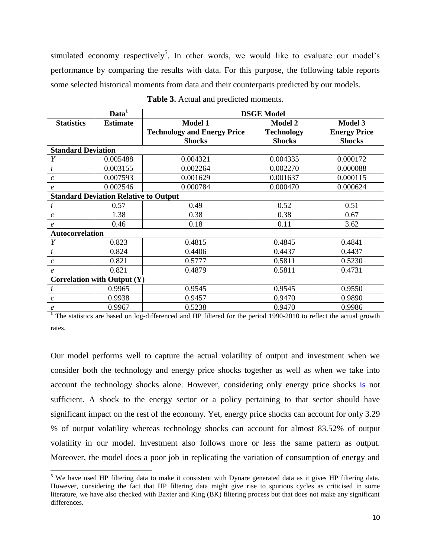simulated economy respectively<sup>5</sup>. In other words, we would like to evaluate our model's performance by comparing the results with data. For this purpose, the following table reports some selected historical moments from data and their counterparts predicted by our models.

|                                    | Data <sup>1</sup>                            | <b>DSGE Model</b>                  |                   |                     |
|------------------------------------|----------------------------------------------|------------------------------------|-------------------|---------------------|
| <b>Statistics</b>                  | <b>Estimate</b>                              | <b>Model 1</b>                     | <b>Model 2</b>    | Model 3             |
|                                    |                                              | <b>Technology and Energy Price</b> | <b>Technology</b> | <b>Energy Price</b> |
|                                    |                                              | <b>Shocks</b>                      | <b>Shocks</b>     | <b>Shocks</b>       |
| <b>Standard Deviation</b>          |                                              |                                    |                   |                     |
| Y                                  | 0.005488                                     | 0.004321                           | 0.004335          | 0.000172            |
| i                                  | 0.003155                                     | 0.002264                           | 0.002270          | 0.000088            |
| $\mathfrak c$                      | 0.007593                                     | 0.001629                           | 0.001637          | 0.000115            |
| e                                  | 0.002546                                     | 0.000784                           | 0.000470          | 0.000624            |
|                                    | <b>Standard Deviation Relative to Output</b> |                                    |                   |                     |
|                                    | 0.57                                         | 0.49                               | 0.52              | 0.51                |
| $\mathcal{C}$                      | 1.38                                         | 0.38                               | 0.38              | 0.67                |
| $\boldsymbol{e}$                   | 0.46                                         | 0.18                               | 0.11              | 3.62                |
| <b>Autocorrelation</b>             |                                              |                                    |                   |                     |
| Y                                  | 0.823                                        | 0.4815                             | 0.4845            | 0.4841              |
| l                                  | 0.824                                        | 0.4406                             | 0.4437            | 0.4437              |
| $\mathcal{C}_{0}$                  | 0.821                                        | 0.5777                             | 0.5811            | 0.5230              |
| $\boldsymbol{e}$                   | 0.821                                        | 0.4879                             | 0.5811            | 0.4731              |
| <b>Correlation with Output (Y)</b> |                                              |                                    |                   |                     |
| ı                                  | 0.9965                                       | 0.9545                             | 0.9545            | 0.9550              |
| $\mathfrak c$                      | 0.9938                                       | 0.9457                             | 0.9470            | 0.9890              |
| e                                  | 0.9967                                       | 0.5238                             | 0.9470            | 0.9986              |

**Table 3.** Actual and predicted moments.

**<sup>1</sup>** The statistics are based on log-differenced and HP filtered for the period 1990-2010 to reflect the actual growth rates.

Our model performs well to capture the actual volatility of output and investment when we consider both the technology and energy price shocks together as well as when we take into account the technology shocks alone. However, considering only energy price shocks is not sufficient. A shock to the energy sector or a policy pertaining to that sector should have significant impact on the rest of the economy. Yet, energy price shocks can account for only 3.29 % of output volatility whereas technology shocks can account for almost 83.52% of output volatility in our model. Investment also follows more or less the same pattern as output. Moreover, the model does a poor job in replicating the variation of consumption of energy and

 $\overline{\phantom{a}}$ 

 $5$  We have used HP filtering data to make it consistent with Dynare generated data as it gives HP filtering data. However, considering the fact that HP filtering data might give rise to spurious cycles as criticised in some literature, we have also checked with Baxter and King (BK) filtering process but that does not make any significant differences.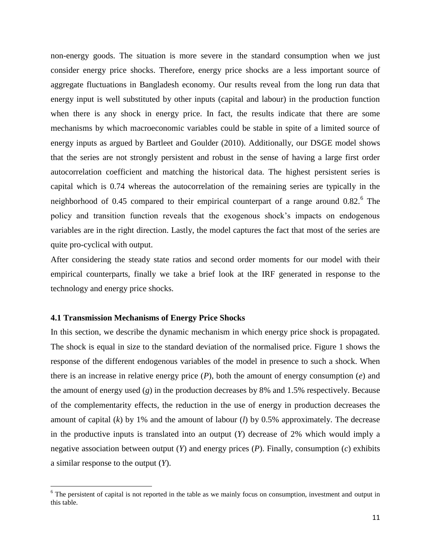non-energy goods. The situation is more severe in the standard consumption when we just consider energy price shocks. Therefore, energy price shocks are a less important source of aggregate fluctuations in Bangladesh economy. Our results reveal from the long run data that energy input is well substituted by other inputs (capital and labour) in the production function when there is any shock in energy price. In fact, the results indicate that there are some mechanisms by which macroeconomic variables could be stable in spite of a limited source of energy inputs as argued by Bartleet and Goulder (2010). Additionally, our DSGE model shows that the series are not strongly persistent and robust in the sense of having a large first order autocorrelation coefficient and matching the historical data. The highest persistent series is capital which is 0.74 whereas the autocorrelation of the remaining series are typically in the neighborhood of 0.45 compared to their empirical counterpart of a range around  $0.82$ .<sup>6</sup> The policy and transition function reveals that the exogenous shock's impacts on endogenous variables are in the right direction. Lastly, the model captures the fact that most of the series are quite pro-cyclical with output.

After considering the steady state ratios and second order moments for our model with their empirical counterparts, finally we take a brief look at the IRF generated in response to the technology and energy price shocks.

#### **4.1 Transmission Mechanisms of Energy Price Shocks**

 $\overline{\phantom{a}}$ 

In this section, we describe the dynamic mechanism in which energy price shock is propagated. The shock is equal in size to the standard deviation of the normalised price. Figure 1 shows the response of the different endogenous variables of the model in presence to such a shock. When there is an increase in relative energy price  $(P)$ , both the amount of energy consumption  $(e)$  and the amount of energy used (*g*) in the production decreases by 8% and 1.5% respectively. Because of the complementarity effects, the reduction in the use of energy in production decreases the amount of capital (*k*) by 1% and the amount of labour (*l*) by 0.5% approximately. The decrease in the productive inputs is translated into an output (*Y*) decrease of 2% which would imply a negative association between output (*Y*) and energy prices (*P*). Finally, consumption (*c*) exhibits a similar response to the output (*Y*).

 $6$  The persistent of capital is not reported in the table as we mainly focus on consumption, investment and output in this table.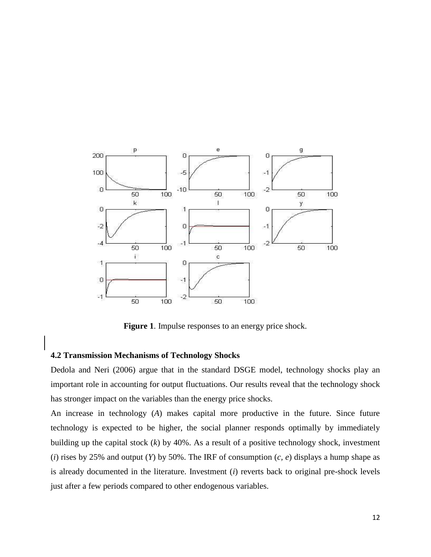

**Figure 1**. Impulse responses to an energy price shock.

### **4.2 Transmission Mechanisms of Technology Shocks**

Dedola and Neri (2006) argue that in the standard DSGE model, technology shocks play an important role in accounting for output fluctuations. Our results reveal that the technology shock has stronger impact on the variables than the energy price shocks.

An increase in technology (*A*) makes capital more productive in the future. Since future technology is expected to be higher, the social planner responds optimally by immediately building up the capital stock (*k*) by 40%. As a result of a positive technology shock, investment (*i*) rises by 25% and output (*Y*) by 50%. The IRF of consumption (*c, e*) displays a hump shape as is already documented in the literature. Investment (*i*) reverts back to original pre-shock levels just after a few periods compared to other endogenous variables.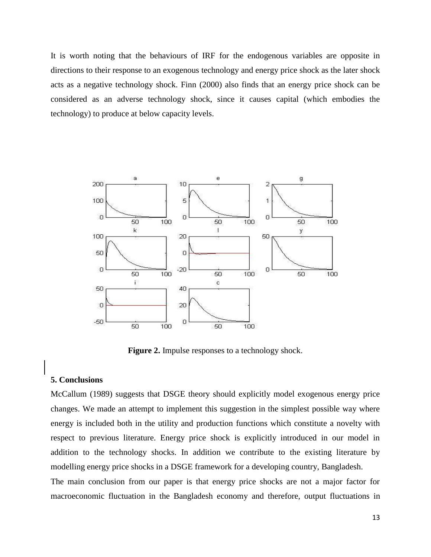It is worth noting that the behaviours of IRF for the endogenous variables are opposite in directions to their response to an exogenous technology and energy price shock as the later shock acts as a negative technology shock. Finn (2000) also finds that an energy price shock can be considered as an adverse technology shock, since it causes capital (which embodies the technology) to produce at below capacity levels.



**Figure 2.** Impulse responses to a technology shock.

## **5. Conclusions**

McCallum (1989) suggests that DSGE theory should explicitly model exogenous energy price changes. We made an attempt to implement this suggestion in the simplest possible way where energy is included both in the utility and production functions which constitute a novelty with respect to previous literature. Energy price shock is explicitly introduced in our model in addition to the technology shocks. In addition we contribute to the existing literature by modelling energy price shocks in a DSGE framework for a developing country, Bangladesh.

The main conclusion from our paper is that energy price shocks are not a major factor for macroeconomic fluctuation in the Bangladesh economy and therefore, output fluctuations in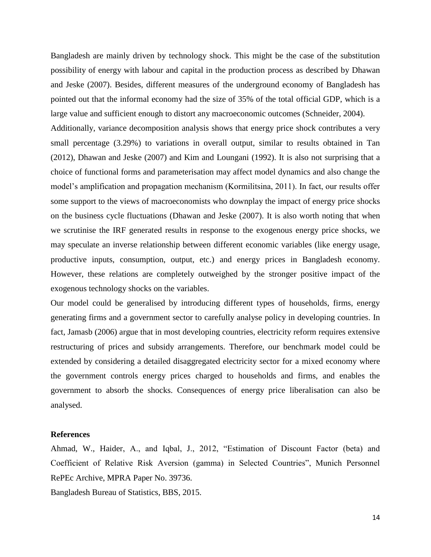Bangladesh are mainly driven by technology shock. This might be the case of the substitution possibility of energy with labour and capital in the production process as described by Dhawan and Jeske (2007). Besides, different measures of the underground economy of Bangladesh has pointed out that the informal economy had the size of 35% of the total official GDP, which is a large value and sufficient enough to distort any macroeconomic outcomes (Schneider, 2004).

Additionally, variance decomposition analysis shows that energy price shock contributes a very small percentage (3.29%) to variations in overall output, similar to results obtained in Tan (2012), Dhawan and Jeske (2007) and Kim and Loungani (1992). It is also not surprising that a choice of functional forms and parameterisation may affect model dynamics and also change the model's amplification and propagation mechanism (Kormilitsina, 2011). In fact, our results offer some support to the views of macroeconomists who downplay the impact of energy price shocks on the business cycle fluctuations (Dhawan and Jeske (2007). It is also worth noting that when we scrutinise the IRF generated results in response to the exogenous energy price shocks, we may speculate an inverse relationship between different economic variables (like energy usage, productive inputs, consumption, output, etc.) and energy prices in Bangladesh economy. However, these relations are completely outweighed by the stronger positive impact of the exogenous technology shocks on the variables.

Our model could be generalised by introducing different types of households, firms, energy generating firms and a government sector to carefully analyse policy in developing countries. In fact, Jamasb (2006) argue that in most developing countries, electricity reform requires extensive restructuring of prices and subsidy arrangements. Therefore, our benchmark model could be extended by considering a detailed disaggregated electricity sector for a mixed economy where the government controls energy prices charged to households and firms, and enables the government to absorb the shocks. Consequences of energy price liberalisation can also be analysed.

### **References**

Ahmad, W., Haider, A., and Iqbal, J., 2012, "Estimation of Discount Factor (beta) and Coefficient of Relative Risk Aversion (gamma) in Selected Countries", Munich Personnel RePEc Archive, MPRA Paper No. 39736.

Bangladesh Bureau of Statistics, BBS, 2015.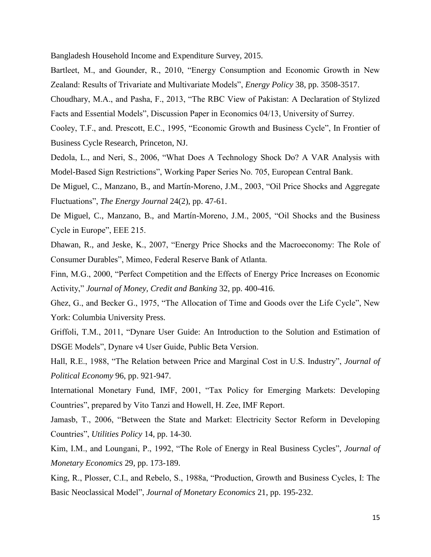Bangladesh Household Income and Expenditure Survey, 2015.

- Bartleet, M., and Gounder, R., 2010, "Energy Consumption and Economic Growth in New Zealand: Results of Trivariate and Multivariate Models", *Energy Policy* 38, pp. 3508-3517.
- Choudhary, M.A., and Pasha, F., 2013, "The RBC View of Pakistan: A Declaration of Stylized Facts and Essential Models", Discussion Paper in Economics 04/13, University of Surrey.
- Cooley, T.F., and. Prescott, E.C., 1995, "Economic Growth and Business Cycle", In Frontier of Business Cycle Research, Princeton, NJ.
- Dedola, L., and Neri, S., 2006, "What Does A Technology Shock Do? A VAR Analysis with Model-Based Sign Restrictions", Working Paper Series No. 705, European Central Bank.
- De Miguel, C., Manzano, B., and Martín-Moreno, J.M., 2003, "Oil Price Shocks and Aggregate Fluctuations", *The Energy Journal* 24(2), pp. 47-61.
- De Miguel, C., Manzano, B., and Martín-Moreno, J.M., 2005, "Oil Shocks and the Business Cycle in Europe", EEE 215.
- Dhawan, R., and Jeske, K., 2007, "Energy Price Shocks and the Macroeconomy: The Role of Consumer Durables", Mimeo, Federal Reserve Bank of Atlanta.
- Finn, M.G., 2000, "Perfect Competition and the Effects of Energy Price Increases on Economic Activity," *Journal of Money, Credit and Banking* 32, pp. 400-416.
- Ghez, G., and Becker G., 1975, "The Allocation of Time and Goods over the Life Cycle", New York: Columbia University Press.
- Griffoli, T.M., 2011, "Dynare User Guide: An Introduction to the Solution and Estimation of DSGE Models", Dynare v4 User Guide, Public Beta Version.
- Hall, R.E., 1988, "The Relation between Price and Marginal Cost in U.S. Industry", *Journal of Political Economy* 96, pp. 921-947.
- International Monetary Fund, IMF, 2001, "Tax Policy for Emerging Markets: Developing Countries", prepared by Vito Tanzi and Howell, H. Zee, IMF Report.
- Jamasb, T., 2006, "Between the State and Market: Electricity Sector Reform in Developing Countries", *Utilities Policy* 14, pp. 14-30.
- Kim, I.M., and Loungani, P., 1992, "The Role of Energy in Real Business Cycles", *Journal of Monetary Economics* 29, pp. 173-189.
- King, R., Plosser, C.I., and Rebelo, S., 1988a, "Production, Growth and Business Cycles, I: The Basic Neoclassical Model", *Journal of Monetary Economics* 21, pp. 195-232.